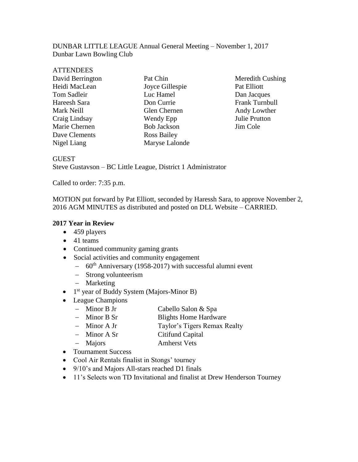### DUNBAR LITTLE LEAGUE Annual General Meeting – November 1, 2017 Dunbar Lawn Bowling Club

| <b>ATTENDEES</b> |                    |
|------------------|--------------------|
| David Berrington | Pat Chin           |
| Heidi MacLean    | Joyce Gillespie    |
| Tom Sadleir      | Luc Hamel          |
| Hareesh Sara     | Don Currie         |
| Mark Neill       | Glen Chernen       |
| Craig Lindsay    | Wendy Epp          |
| Marie Chernen    | <b>Bob Jackson</b> |
| Dave Clements    | <b>Ross Bailey</b> |
| Nigel Liang      | Maryse Lalonde     |
|                  |                    |

Meredith Cushing Pat Elliott Dan Jacques Frank Turnbull Andy Lowther Julie Prutton Jim Cole

#### GUEST

Steve Gustavson – BC Little League, District 1 Administrator

Called to order: 7:35 p.m.

MOTION put forward by Pat Elliott, seconded by Haressh Sara, to approve November 2, 2016 AGM MINUTES as distributed and posted on DLL Website – CARRIED.

### **2017 Year in Review**

- 459 players
- 41 teams
- Continued community gaming grants
- Social activities and community engagement
	- − 60th Anniversary (1958-2017) with successful alumni event
	- − Strong volunteerism
	- − Marketing
- 1<sup>st</sup> year of Buddy System (Majors-Minor B)
- League Champions
	- − Minor B Jr Cabello Salon & Spa
	- − Minor B Sr Blights Home Hardware
	- − Minor A Jr Taylor's Tigers Remax Realty
		- − Minor A Sr Citifund Capital
	- − Majors Amherst Vets
- Tournament Success
- Cool Air Rentals finalist in Stongs' tourney
- 9/10's and Majors All-stars reached D1 finals
- 11's Selects won TD Invitational and finalist at Drew Henderson Tourney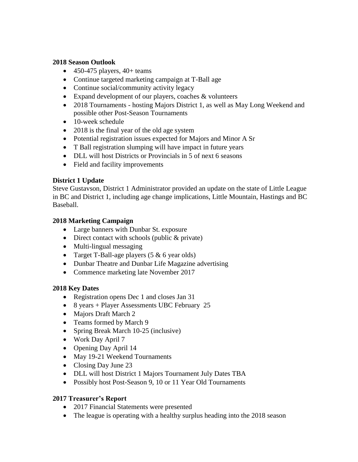### **2018 Season Outlook**

- $\bullet$  450-475 players, 40+ teams
- Continue targeted marketing campaign at T-Ball age
- Continue social/community activity legacy
- Expand development of our players, coaches & volunteers
- 2018 Tournaments hosting Majors District 1, as well as May Long Weekend and possible other Post-Season Tournaments
- 10-week schedule
- 2018 is the final year of the old age system
- Potential registration issues expected for Majors and Minor A Sr
- T Ball registration slumping will have impact in future years
- DLL will host Districts or Provincials in 5 of next 6 seasons
- Field and facility improvements

# **District 1 Update**

Steve Gustavson, District 1 Administrator provided an update on the state of Little League in BC and District 1, including age change implications, Little Mountain, Hastings and BC Baseball.

### **2018 Marketing Campaign**

- Large banners with Dunbar St. exposure
- Direct contact with schools (public & private)
- Multi-lingual messaging
- Target T-Ball-age players (5 & 6 year olds)
- Dunbar Theatre and Dunbar Life Magazine advertising
- Commence marketing late November 2017

# **2018 Key Dates**

- Registration opens Dec 1 and closes Jan 31
- 8 years + Player Assessments UBC February 25
- Majors Draft March 2
- Teams formed by March 9
- Spring Break March 10-25 (inclusive)
- Work Day April 7
- Opening Day April 14
- May 19-21 Weekend Tournaments
- Closing Day June 23
- DLL will host District 1 Majors Tournament July Dates TBA
- Possibly host Post-Season 9, 10 or 11 Year Old Tournaments

# **2017 Treasurer's Report**

- 2017 Financial Statements were presented
- The league is operating with a healthy surplus heading into the 2018 season